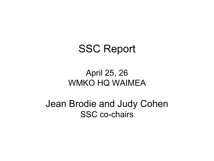# SSC Report

#### April 25, 26 WMKO HQ WAIMEA

Jean Brodie and Judy Cohen SSC co-chairs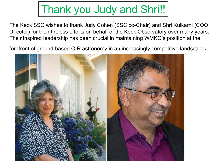# Thank you Judy and Shri!!

The Keck SSC wishes to thank Judy Cohen (SSC co-Chair) and Shri Kulkarni (COO Director) for their tireless efforts on behalf of the Keck Observatory over many years. Their inspired leadership has been crucial in maintaining WMKO's position at the

forefront of ground-based OIR astronomy in an increasingly competitive landscape.

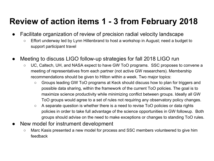# **Review of action items 1 - 3 from February 2018**

- Facilitate organization of review of precision radial velocity landscape
	- Effort underway led by Lynn Hillenbrand to host a workshop in August; need a budget to support participant travel
- Meeting to discuss LIGO follow-up strategies for fall 2018 LIGO run
	- UC, Caltech, UH, and NASA expect to have GW ToO programs. SSC proposes to convene a meeting of representatives from each partner (not active GW researchers). Membership recommendations should be given to Hilton within a week. Two major topics:
		- Groups leading GW ToO programs at Keck should discuss how to plan for triggers and possible data sharing, within the framework of the current ToO policies. The goal is to maximize science productivity while minimizing conflict between groups. Ideally all GW ToO groups would agree to a set of rules not requiring any observatory policy changes.
		- A separate question is whether there is a need to revise ToO policies or data rights policies in order to take full advantage of the science opportunities in GW followup. Both groups should advise on the need to make exceptions or changes to standing ToO rules.
- New model for instrument development
	- Marc Kasis presented a new model for process and SSC members volunteered to give him feedback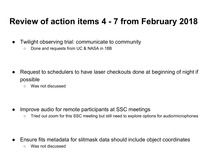### **Review of action items 4 - 7 from February 2018**

- Twilight observing trial: communicate to community
	- Done and requests from UC & NASA in 18B

- Request to schedulers to have laser checkouts done at beginning of night if possible
	- Was not discussed

- Improve audio for remote participants at SSC meetings
	- Tried out zoom for this SSC meeting but still need to explore options for audio/microphones

- Ensure fits metadata for slitmask data should include object coordinates
	- Was not discussed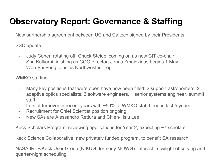# **Observatory Report: Governance & Staffing**

New partnership agreement between UC and Caltech signed by their Presidents.

SSC update:

- Judy Cohen rotating off, Chuck Steidel coming on as new CIT co-chair;
- Shri Kulkarni finishing as COO director; Jonas Zmuidzinas begins 1 May;
- Wen-Fai Fong joins as Northwestern rep

WMKO staffing:

- Many key positions that were open have now been filled: 2 support astronomers; 2 adaptive optics specialists, 3 software engineers, 1 senior systems engineer, summit staff.
- Lots of turnover in recent years with  $\sim$  50% of WMKO staff hired in last 5 years
- Recruitment for Chief Scientist position ongoing
- New SAs are Alessandro Rettura and Chien-Hsiu Lee

Keck Scholars Program: reviewing applications for Year 2, expecting ~7 scholars

Keck Science Collaborative: new privately funded program, to benefit SA research

NASA IRTF/Keck User Group (NIKUG, formerly MOWG): interest in twilight observing and quarter-night scheduling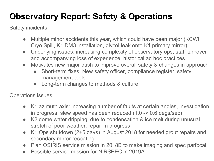# **Observatory Report: Safety & Operations**

Safety incidents

- Multiple minor accidents this year, which could have been major (KCWI) Cryo Spill, K1 DM3 installation, glycol leak onto K1 primary mirror)
- Underlying issues: increasing complexity of observatory ops, staff turnover and accompanying loss of experience, historical ad hoc practices
- Motivates new major push to improve overall safety & changes in approach
	- Short-term fixes: New safety officer, compliance register, safety management tools
	- Long-term changes to methods & culture

Operations issues

- K1 azimuth axis: increasing number of faults at certain angles, investigation in progress, slew speed has been reduced (1.0 -> 0.6 degs/sec)
- K2 dome water dripping: due to condensation & ice melt during unusual stretch of poor weather, repair in progress
- K1 Ops shutdown (2+5 days) in August 2018 for needed grout repairs and secondary mirror recoating.
- Plan OSIRIS service mission in 2018B to make imaging and spec parfocal.
- Possible service mission for NIRSPEC in 2019A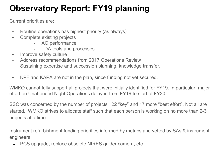# **Observatory Report: FY19 planning**

Current priorities are:

- Routine operations has highest priority (as always)
- Complete existing projects
	- AO performance
	- TDA tools and processes
- Improve safety culture
- Address recommendations from 2017 Operations Review
- Sustaining expertise and succession planning, knowledge transfer.
- KPF and KAPA are not in the plan, since funding not yet secured.

WMKO cannot fully support all projects that were initially identified for FY19. In particular, major effort on Unattended Night Operations delayed from FY19 to start of FY20.

SSC was concerned by the number of projects: 22 "key" and 17 more "best effort". Not all are started. WMKO strives to allocate staff such that each person is working on no more than 2-3 projects at a time.

Instrument refurbishment funding:priorities informed by metrics and vetted by SAs & instrument engineers

**PCS upgrade, replace obsolete NIRES guider camera, etc.**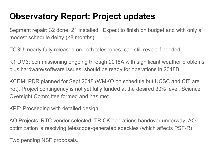# **Observatory Report: Project updates**

Segment repair: 32 done, 21 installed. Expect to finish on budget and with only a modest schedule delay (<8 months).

TCSU: nearly fully released on both telescopes; can still revert if needed.

K1 DM3: commissioning ongoing through 2018A with significant weather problems plus hardware/software issues; should be ready for operations in 2018B.

KCRM: PDR planned for Sept 2018 (WMKO on schedule but UCSC and CIT are not). Project contingency is not yet fully funded at the desired 30% level. Science Oversight Committee formed and has met.

KPF: Proceeding with detailed design.

AO Projects: RTC vendor selected, TRICK operations handover underway, AO optimization is resolving telescope-generated speckles (which affects PSF-R).

Two pending NSF proposals.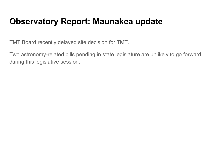#### **Observatory Report: Maunakea update**

TMT Board recently delayed site decision for TMT.

Two astronomy-related bills pending in state legislature are unlikely to go forward during this legislative session.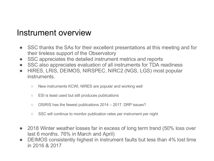#### Instrument overview

- SSC thanks the SAs for their excellent presentations at this meeting and for their tireless support of the Observatory
- SSC appreciates the detailed instrument metrics and reports
- SSC also appreciates evaluation of all instruments for TDA readiness
- HIRES, LRIS, DEIMOS, NIRSPEC, NIRC2 (NGS, LGS) most popular instruments.
	- New instruments KCWI, NIRES are popular and working well
	- ESI is least used but still produces publications
	- OSIRIS has the fewest publications 2014 2017. DRP issues?
	- SSC will continue to monitor publication rates per instrument per night
- 2018 Winter weather losses far in excess of long term trend (50% loss over last 6 months. 76% in March and April)
- DEIMOS consistently highest in instrument faults but less than 4% lost time in 2016 & 2017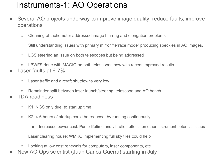#### Instruments-1: AO Operations

- Several AO projects underway to improve image quality, reduce faults, improve operations
	- Cleaning of tachometer addressed image blurring and elongation problems
	- Still understanding issues with primary mirror "terrace mode" producing speckles in AO images.
	- LGS steering an issue on both telescopes but being addressed
- LBWFS done with MAGIQ on both telescopes now with recent improved results Laser faults at  $6-7\%$ 
	- Laser traffic and aircraft shutdowns very low
	- Remainder split between laser launch/steering, telescope and AO bench
- **TDA readiness** 
	- K1: NGS only due to start up time
	- K2: 4-6 hours of startup could be reduced by running continuously.
		- Increased power cost. Pump lifetime and vibration effects on other instrument potential issues
	- Laser clearing house: WMKO implementing full sky tiles could help
	- Looking at low cost renewals for computers, laser components, etc
- New AO Ops scientist (Juan Carlos Guerra) starting in July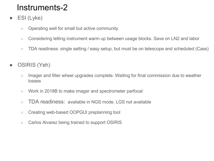- ESI (Lyke)
	- Operating well for small but active community.
	- Considering letting instrument warm up between usage blocks. Save on LN2 and labor
	- TDA readiness: single setting / easy setup, but must be on telescope and scheduled (Cass)
- OSIRIS (Yeh)
	- Imager and filter wheel upgrades complete. Waiting for final commission due to weather losses
	- Work in 2018B to make imager and spectrometer parfocal
	- TDA readiness: available in NGS mode. LGS not available
	- Creating web-based OOPGUI preplanning tool
	- o Carlos Alvarez being trained to support OSIRIS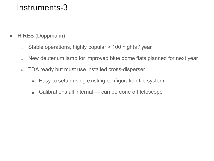- HIRES (Doppmann)
	- Stable operations, highly popular > 100 nights / year
	- New deuterium lamp for improved blue dome flats planned for next year
	- TDA ready but must use installed cross-disperser
		- Easy to setup using existing configuration file system
		- Calibrations all internal --- can be done off telescope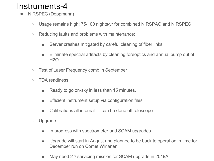- NIRSPEC (Doppmann)
	- Usage remains high: 75-100 nights/yr for combined NIRSPAO and NIRSPEC
	- Reducing faults and problems with maintenance:
		- Server crashes mitigated by careful cleaning of fiber links
		- Eliminate spectral artifacts by cleaning foreoptics and annual pump out of H2O
	- Test of Laser Frequency comb in September
	- TDA readiness
		- Ready to go on-sky in less than 15 minutes.
		- Efficient instrument setup via configuration files
		- Calibrations all internal --- can be done off telescope
	- Upgrade
		- In progress with spectrometer and SCAM upgrades
		- Upgrade will start in August and planned to be back to operation in time for December run on Comet Wirtanen
		- May need 2<sup>nd</sup> servicing mission for SCAM upgrade in 2019A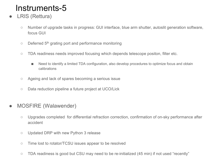- LRIS (Rettura)
	- Number of upgrade tasks in progress: GUI interface, blue arm shutter, autoslit generation software, focus GUI
	- $\circ$  Deferred 5<sup>th</sup> grating port and performance monitoring
	- TDA readiness needs improved focusing which depends telescope positon, filter etc.
		- Need to identify a limited TDA configuration, also develop procedures to optimize focus and obtain calibrations
	- Ageing and lack of spares becoming a serious issue
	- Data reduction pipeline a future project at UCO/Lick
- MOSFIRE (Walawender)
	- Upgrades completed for differential refraction correction, confirmation of on-sky performance after accident
	- Updated DRP with new Python 3 release
	- Time lost to rotator/TCSU issues appear to be resolved
	- TDA readiness is good but CSU may need to be re-initialized (45 min) if not used "recently"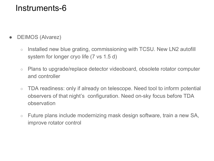- DEIMOS (Alvarez)
	- Installed new blue grating, commissioning with TCSU. New LN2 autofill system for longer cryo life (7 vs 1.5 d)
	- Plans to upgrade/replace detector videoboard, obsolete rotator computer and controller
	- TDA readiness: only if already on telescope. Need tool to inform potential observers of that night's configuration. Need on-sky focus before TDA observation
	- Future plans include modernizing mask design software, train a new SA, improve rotator control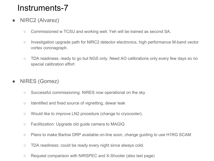- NIRC2 (Alvarez)
	- Commissioned w TCSU and working well. Yeh will be trained as second SA.
	- Investigation upgrade path for NIRC2 detector electronics, high performance M-band vector vortex coronagraph.
	- TDA readiness: ready to go but NGS only. Need AO calibrations only every few days so no special calibration effort
- NIRES (Gomez)
	- Successful commissioning. NIRES now operational on the sky
	- Identified and fixed source of vignetting, dewar leak
	- Would like to improve LN2 procedure (change to cryocooler).
	- Facilitization: Upgrade old guide camera to MAGIQ
	- Plans to make Barlow DRP available on-line soon, change quiding to use H1RG SCAM
	- TDA readiness: could be ready every night since always cold.
	- Request comparison with NIRSPEC and X-Shooter (also last page)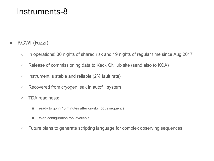#### KCWI (Rizzi)

- In operations! 30 nights of shared risk and 19 nights of regular time since Aug 2017
- Release of commissioning data to Keck GitHub site (send also to KOA)
- $\circ$  Instrument is stable and reliable (2% fault rate)
- Recovered from cryogen leak in autofill system
- TDA readiness:
	- ready to go in 15 minutes after on-sky focus sequence.
	- Web configuration tool available
- Future plans to generate scripting language for complex observing sequences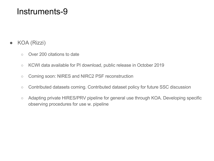#### ● KOA (Rizzi)

- Over 200 citations to date
- KCWI data available for PI download, public release in October 2019
- Coming soon: NIRES and NIRC2 PSF reconstruction
- Contributed datasets coming. Contributed dataset policy for future SSC discussion
- Adapting private HIRES/PRV pipeline for general use through KOA. Developing specific observing procedures for use w. pipeline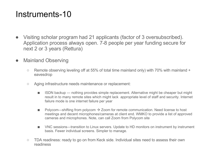- Visiting scholar program had 21 applicants (factor of 3 oversubscribed). Application process always open. 7-8 people per year funding secure for next 2 or 3 years (Rettura)
- Mainland Observing
	- $\circ$  Remote observing leveling off at 55% of total time mainland only) with 70% with mainland + eavesdrop
	- Aging infrastructure needs maintenance or replacement:
		- ISDN backup --- nothing provides simple replacement. Alternative might be cheaper but might result in to many remote sites which might lack appropriate level of staff and security. Internet failure mode is one internet failure per year
		- Polycom---shifting from polycom  $\rightarrow$  Zoom for remote communication. Need license to host meetings and decent microphones/cameras at client end. WMKO to provide a list of approved cameras and microphones. Note, can call Zoom from Polycom site
		- VNC sessions—transition to Linux servers. Update to HD monitors on instrument by instrument basis. Fewer individual screens. Simpler to manage.
	- TDA readiness: ready to go on from Keck side. Individual sites need to assess their own readiness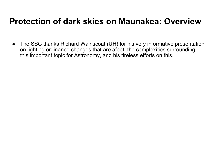#### **Protection of dark skies on Maunakea: Overview**

• The SSC thanks Richard Wainscoat (UH) for his very informative presentation on lighting ordinance changes that are afoot, the complexities surrounding this important topic for Astronomy, and his tireless efforts on this.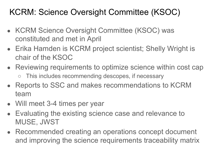# KCRM: Science Oversight Committee (KSOC)

- KCRM Science Oversight Committee (KSOC) was constituted and met in April
- Erika Hamden is KCRM project scientist; Shelly Wright is chair of the KSOC
- Reviewing requirements to optimize science within cost cap ○ This includes recommending descopes, if necessary
- Reports to SSC and makes recommendations to KCRM team
- Will meet 3-4 times per year
- Evaluating the existing science case and relevance to MUSE, JWST
- Recommended creating an operations concept document and improving the science requirements traceability matrix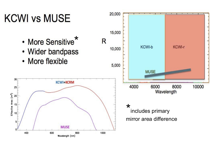# **KCWI vs MUSE**

- More Sensitive\*
- Wider bandpass
- More flexible



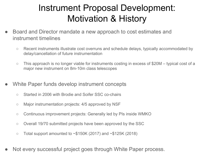# Instrument Proposal Development: Motivation & History

- Board and Director mandate a new approach to cost estimates and instrument timelines
	- Recent instruments illustrate cost overruns and schedule delays, typically accommodated by delay/cancellation of future instrumentation
	- $\circ$  This approach is no longer viable for instruments costing in excess of \$20M typical cost of a major new instrument on 8m-10m class telescopes
- White Paper funds develop instrument concepts
	- Started in 2006 with Brodie and Soifer SSC co-chairs
	- Major instrumentation projects: 4/5 approved by NSF
	- Continuous improvement projects: Generally led by PIs inside WMKO
	- Overall 19/70 submitted projects have been approved by the SSC
	- $\circ$  Total support amounted to  $\sim$ \$150K (2017) and  $\sim$ \$125K (2018)
- Not every successful project goes through White Paper process.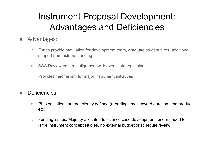# Instrument Proposal Development: Advantages and Deficiencies

- Advantages:
	- Funds provide motivation for development team, graduate student hires, additional support from external funding
	- SSC Review ensures alignment with overall strategic plan
	- Provides mechanism for major instrument initiatives
- Deficiencies:
	- PI expectations are not clearly defined (reporting times, award duration, end products, etc)
	- Funding issues: Majority allocated to science case development, underfunded for large instrument concept studies, no external budget or schedule review.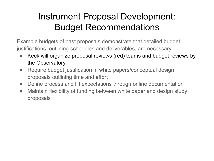# Instrument Proposal Development: Budget Recommendations

Example budgets of past proposals demonstrate that detailed budget justifications, outlining schedules and deliverables, are necessary.

- Keck will organize proposal reviews (red) teams and budget reviews by the Observatory
- Require budget justification in white papers/conceptual design proposals outlining time and effort
- Define process and PI expectations through online documentation
- Maintain flexibility of funding between white paper and design study proposals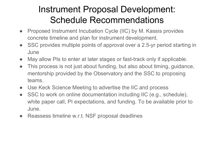# Instrument Proposal Development: Schedule Recommendations

- Proposed Instrument Incubation Cycle (IIC) by M. Kassis provides concrete timeline and plan for instrument development.
- SSC provides multiple points of approval over a 2.5-yr period starting in June
- May allow PIs to enter at later stages or fast-track only if applicable.
- This process is not just about funding, but also about timing, guidance, mentorship provided by the Observatory and the SSC to proposing teams.
- Use Keck Science Meeting to advertise the IIC and process
- SSC to work on online documentation including IIC (e.g., schedule), white paper call, PI expectations, and funding. To be available prior to June.
- Reassess timeline w.r.t. NSF proposal deadlines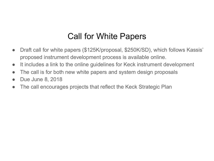### Call for White Papers

- Draft call for white papers (\$125K/proposal, \$250K/SD), which follows Kassis' proposed instrument development process is available online.
- It includes a link to the online guidelines for Keck instrument development
- The call is for both new white papers and system design proposals
- Due June 8, 2018
- The call encourages projects that reflect the Keck Strategic Plan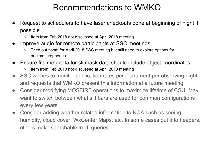# Recommendations to WMKO

- Request to schedulers to have laser checkouts done at beginning of night if possible
	- Item from Feb 2018 not discussed at April 2018 meeting
- Improve audio for remote participants at SSC meetings
	- Tried out zoom for April 2018 SSC meeting but still need to explore options for audio/microphones
- Ensure fits metadata for slitmask data should include object coordinates
	- Item from Feb 2018 not discussed at April 2018 meeting
- SSC wishes to monitor publication rates per instrument per observing night and requests that WMKO present this information at a future meeting
- Consider modifying MOSFIRE operations to maximize lifetime of CSU: May want to switch between what slit bars are used for common configurations every few years
- Consider adding weather related information to KOA such as seeing, humidity, cloud cover, WxCenter Maps, etc. In some cases put into headers, others make searchable in UI queries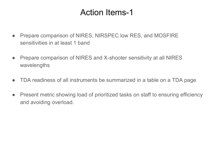#### Action Items-1

- Prepare comparison of NIRES, NIRSPEC low RES, and MOSFIRE sensitivities in at least 1 band
- Prepare comparison of NIRES and X-shooter sensitivity at all NIRES wavelengths
- TDA readiness of all instruments be summarized in a table on a TDA page
- Present metric showing load of prioritized tasks on staff to ensuring efficiency and avoiding overload.